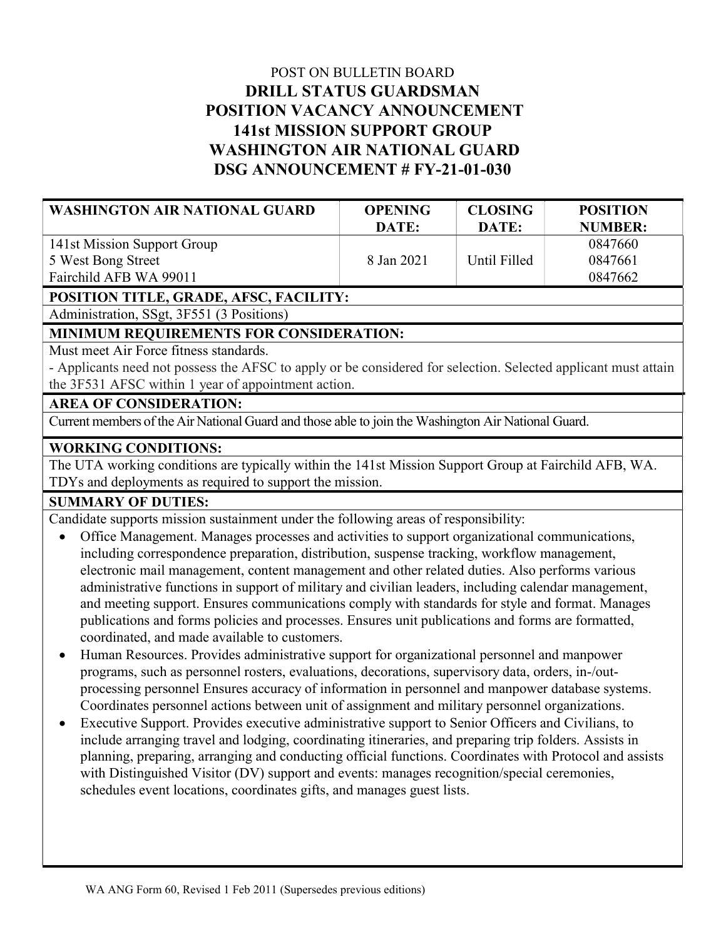# POST ON BULLETIN BOARD DRILL STATUS GUARDSMAN POSITION VACANCY ANNOUNCEMENT 141st MISSION SUPPORT GROUP WASHINGTON AIR NATIONAL GUARD DSG ANNOUNCEMENT # FY-21-01-030

| <b>WASHINGTON AIR NATIONAL GUARD</b> | <b>OPENING</b><br>DATE: | <b>CLOSING</b><br>DATE: | <b>POSITION</b><br>NUMBER: |
|--------------------------------------|-------------------------|-------------------------|----------------------------|
| 141st Mission Support Group          |                         |                         | 0847660                    |
| 5 West Bong Street                   | 8 Jan 2021              | Until Filled            | 0847661                    |
| Fairchild AFB WA 99011               |                         |                         | 0847662                    |

## POSITION TITLE, GRADE, AFSC, FACILITY:

Administration, SSgt, 3F551 (3 Positions)

## MINIMUM REQUIREMENTS FOR CONSIDERATION:

Must meet Air Force fitness standards.

- Applicants need not possess the AFSC to apply or be considered for selection. Selected applicant must attain the 3F531 AFSC within 1 year of appointment action.

#### AREA OF CONSIDERATION:

Current members of the Air National Guard and those able to join the Washington Air National Guard.

## WORKING CONDITIONS:

The UTA working conditions are typically within the 141st Mission Support Group at Fairchild AFB, WA. TDYs and deployments as required to support the mission.

## SUMMARY OF DUTIES:

Candidate supports mission sustainment under the following areas of responsibility:

- Office Management. Manages processes and activities to support organizational communications, including correspondence preparation, distribution, suspense tracking, workflow management, electronic mail management, content management and other related duties. Also performs various administrative functions in support of military and civilian leaders, including calendar management, and meeting support. Ensures communications comply with standards for style and format. Manages publications and forms policies and processes. Ensures unit publications and forms are formatted, coordinated, and made available to customers.
- Human Resources. Provides administrative support for organizational personnel and manpower programs, such as personnel rosters, evaluations, decorations, supervisory data, orders, in-/outprocessing personnel Ensures accuracy of information in personnel and manpower database systems. Coordinates personnel actions between unit of assignment and military personnel organizations.
- Executive Support. Provides executive administrative support to Senior Officers and Civilians, to include arranging travel and lodging, coordinating itineraries, and preparing trip folders. Assists in planning, preparing, arranging and conducting official functions. Coordinates with Protocol and assists with Distinguished Visitor (DV) support and events: manages recognition/special ceremonies, schedules event locations, coordinates gifts, and manages guest lists.